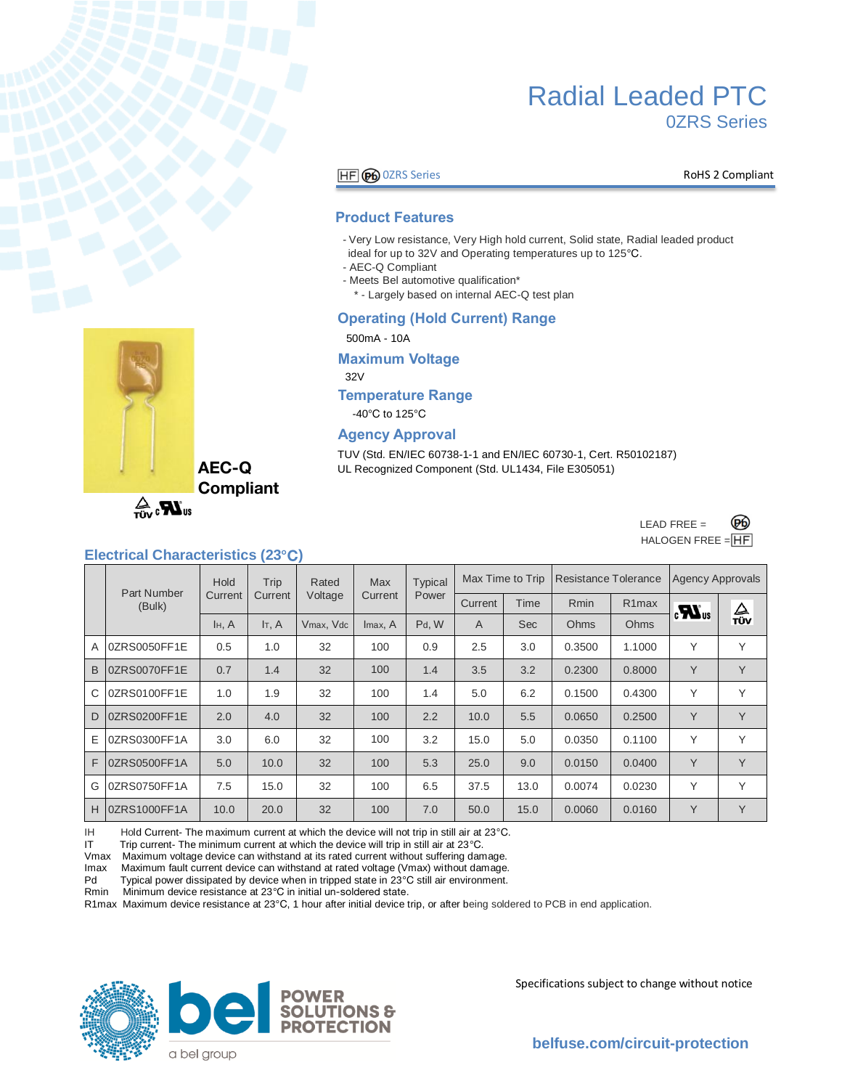

### **HF GO** OZRS Series **RoHS 2 Compliant**

#### **Product Features**

- Very Low resistance, Very High hold current, Solid state, Radial leaded product ideal for up to 32V and Operating temperatures up to 125°C.
- AEC-Q Compliant
- Meets Bel automotive qualification\*
- \* Largely based on internal AEC-Q test plan

#### **Operating (Hold Current) Range**

500mA - 10A

**Maximum Voltage**

32V

### **Temperature Range**

-40°C to 125°C

#### **Agency Approval**

TUV (Std. EN/IEC 60738-1-1 and EN/IEC 60730-1, Cert. R50102187) UL Recognized Component (Std. UL1434, File E305051)



 $\mathbf{Z}_3$ <sub>vir</sub>

**AEC-Q Compliant** 

# **Electrical Characteristics (23°C)**

|   |                       | Trip<br>Hold |                      | Rated     | <b>Max</b> | <b>Typical</b> | Max Time to Trip |            | <b>Resistance Tolerance</b> |                    | <b>Agency Approvals</b> |                            |
|---|-----------------------|--------------|----------------------|-----------|------------|----------------|------------------|------------|-----------------------------|--------------------|-------------------------|----------------------------|
|   | Part Number<br>(Bulk) | Current      | Current              | Voltage   | Current    | Power          | Current          | Time       | <b>Rmin</b>                 | R <sub>1</sub> max | $\boldsymbol{u}$        | $\frac{\Delta}{\text{TV}}$ |
|   |                       | H, A         | $I_{\mathsf{T}}$ , A | Vmax, Vdc | Imax, A    | Pd, W          | A                | <b>Sec</b> | Ohms                        | Ohms               |                         |                            |
| A | 0ZRS0050FF1E          | 0.5          | 1.0                  | 32        | 100        | 0.9            | 2.5              | 3.0        | 0.3500                      | 1.1000             | Y                       | Y                          |
| B | 0ZRS0070FF1E          | 0.7          | 1.4                  | 32        | 100        | 1.4            | 3.5              | 3.2        | 0.2300                      | 0.8000             | Y                       | Y                          |
| C | 0ZRS0100FF1E          | 1.0          | 1.9                  | 32        | 100        | 1.4            | 5.0              | 6.2        | 0.1500                      | 0.4300             | Υ                       | Y                          |
| D | 0ZRS0200FF1E          | 2.0          | 4.0                  | 32        | 100        | 2.2            | 10.0             | 5.5        | 0.0650                      | 0.2500             | Y                       | Y                          |
| Е | 0ZRS0300FF1A          | 3.0          | 6.0                  | 32        | 100        | 3.2            | 15.0             | 5.0        | 0.0350                      | 0.1100             | Υ                       | Υ                          |
| F | 0ZRS0500FF1A          | 5.0          | 10.0                 | 32        | 100        | 5.3            | 25.0             | 9.0        | 0.0150                      | 0.0400             | Y                       | Y                          |
| G | 0ZRS0750FF1A          | 7.5          | 15.0                 | 32        | 100        | 6.5            | 37.5             | 13.0       | 0.0074                      | 0.0230             | Υ                       | Y                          |
| H | <b>OZRS1000FF1A</b>   | 10.0         | 20.0                 | 32        | 100        | 7.0            | 50.0             | 15.0       | 0.0060                      | 0.0160             | Y                       | Y                          |

IH Hold Current- The maximum current at which the device will not trip in still air at 23°C.

IT Trip current- The minimum current at which the device will trip in still air at  $23^{\circ}$ C.

Vmax Maximum voltage device can withstand at its rated current without suffering damage.

Imax Maximum fault current device can withstand at rated voltage (Vmax) without damage.<br>Pd Typical power dissipated by device when in tripped state in 23°C still air environment.

Typical power dissipated by device when in tripped state in 23°C still air environment.

Rmin Minimum device resistance at 23°C in initial un-soldered state.

R1max Maximum device resistance at 23° C, 1 hour after initial device trip, or after being soldered to PCB in end application.



Specifications subject to change without notice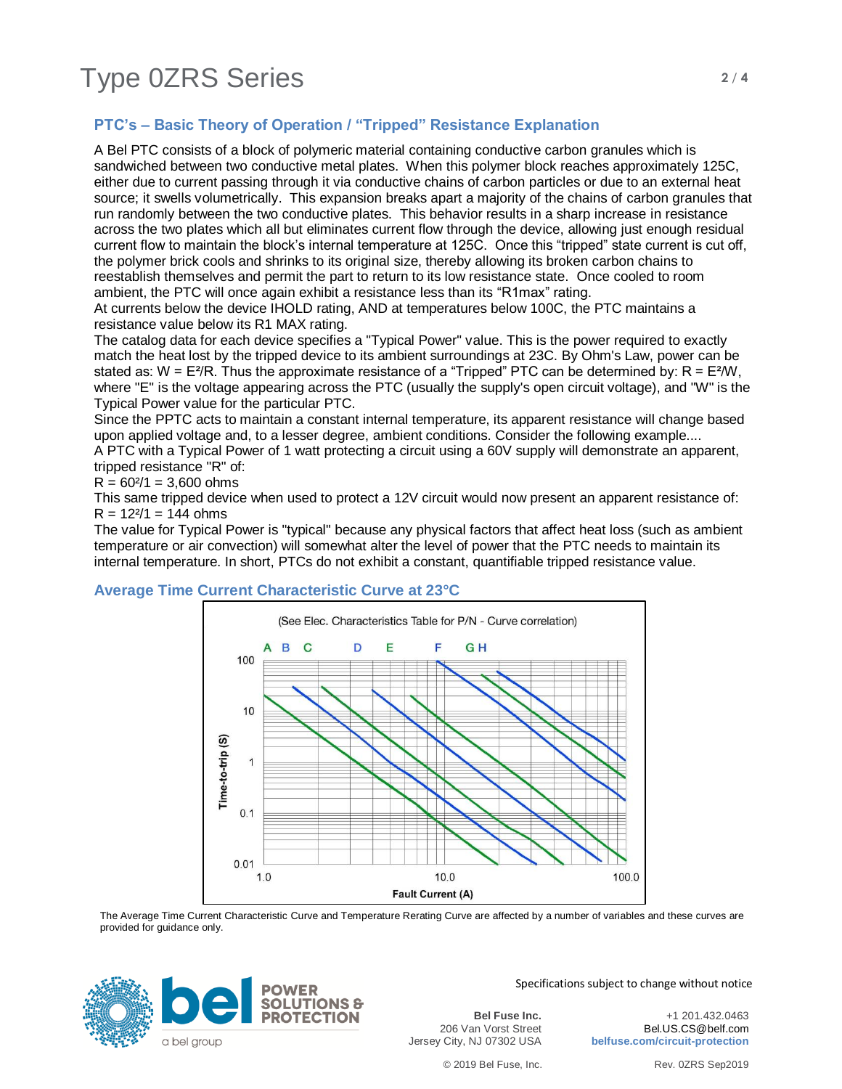# **PTC's – Basic Theory of Operation / "Tripped" Resistance Explanation**

A Bel PTC consists of a block of polymeric material containing conductive carbon granules which is sandwiched between two conductive metal plates. When this polymer block reaches approximately 125C, either due to current passing through it via conductive chains of carbon particles or due to an external heat source; it swells volumetrically. This expansion breaks apart a majority of the chains of carbon granules that run randomly between the two conductive plates. This behavior results in a sharp increase in resistance across the two plates which all but eliminates current flow through the device, allowing just enough residual current flow to maintain the block's internal temperature at 125C. Once this "tripped" state current is cut off, the polymer brick cools and shrinks to its original size, thereby allowing its broken carbon chains to reestablish themselves and permit the part to return to its low resistance state. Once cooled to room ambient, the PTC will once again exhibit a resistance less than its "R1max" rating.

At currents below the device IHOLD rating, AND at temperatures below 100C, the PTC maintains a resistance value below its R1 MAX rating.

The catalog data for each device specifies a "Typical Power" value. This is the power required to exactly match the heat lost by the tripped device to its ambient surroundings at 23C. By Ohm's Law, power can be stated as:  $W = E^{2}/R$ . Thus the approximate resistance of a "Tripped" PTC can be determined by:  $R = E^{2}/W$ , where "E" is the voltage appearing across the PTC (usually the supply's open circuit voltage), and "W" is the Typical Power value for the particular PTC.

Since the PPTC acts to maintain a constant internal temperature, its apparent resistance will change based upon applied voltage and, to a lesser degree, ambient conditions. Consider the following example.... A PTC with a Typical Power of 1 watt protecting a circuit using a 60V supply will demonstrate an apparent,

tripped resistance "R" of:

 $R = 60<sup>2</sup>/1 = 3,600$  ohms

This same tripped device when used to protect a 12V circuit would now present an apparent resistance of:  $R = 12<sup>2</sup>/1 = 144 ohms$ 

The value for Typical Power is "typical" because any physical factors that affect heat loss (such as ambient temperature or air convection) will somewhat alter the level of power that the PTC needs to maintain its internal temperature. In short, PTCs do not exhibit a constant, quantifiable tripped resistance value.

# **Average Time Current Characteristic Curve at 23°C**



The Average Time Current Characteristic Curve and Temperature Rerating Curve are affected by a number of variables and these curves are provided for guidance only.



Specifications subject to change without notice

**Bel Fuse Inc.** 206 Van Vorst Street Jersey City, NJ 07302 USA

+1 201.432.0463 Bel.US.CS@belf.com **belfuse.com/circuit-protection**

© 2019 Bel Fuse, Inc. Rev. 0ZRS Sep2019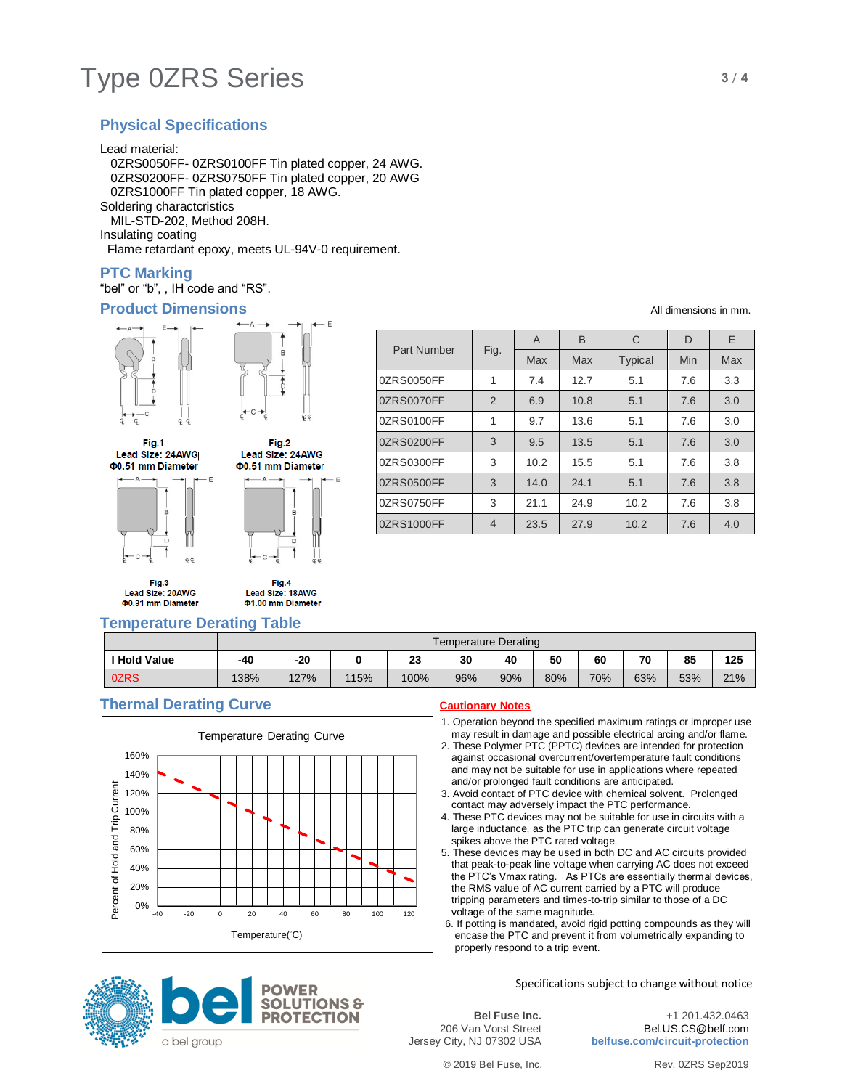# Type 0ZRS Series **3/4**

# **Physical Specifications**

Lead material:

 0ZRS0050FF- 0ZRS0100FF Tin plated copper, 24 AWG. 0ZRS0200FF- 0ZRS0750FF Tin plated copper, 20 AWG 0ZRS1000FF Tin plated copper, 18 AWG. Soldering charactcristics MIL-STD-202, Method 208H.

Insulating coating

Flame retardant epoxy, meets UL-94V-0 requirement.

# **PTC Marking**

"bel" or "b", , IH code and "RS".

## **Product Dimensions** All dimensions in mm.





Fig.1 Lead Size: 24AWG **00.51 mm Diameter** 

Fig.3





**Temperature Derating Table**

| Fig.2           |  |
|-----------------|--|
| ead Size: 24AWG |  |
| .51 mm Diameter |  |
|                 |  |



Part Number Fig. A B C D E Max | Max | Typical | Min | Max 0ZRS0050FF | 1 | 7.4 | 12.7 | 5.1 | 7.6 | 3.3 0ZRS0070FF 2 6.9 10.8 5.1 7.6 3.0 0ZRS0100FF 1 9.7 13.6 5.1 7.6 3.0 0ZRS0200FF 3 9.5 13.5 5.1 7.6 3.0 0ZRS0300FF 3 10.2 15.5 5.1 7.6 3.8 0ZRS0500FF 3 14.0 24.1 5.1 7.6 3.8 0ZRS0750FF 3 21.1 24.9 10.2 7.6 3.8 0ZRS1000FF 4 23.5 27.9 10.2 7.6 4.0

|              | Temperature Derating |      |      |      |     |     |     |     |     |     |     |
|--------------|----------------------|------|------|------|-----|-----|-----|-----|-----|-----|-----|
| ' Hold Value | -40                  | -20  |      | 23   | 30  | 40  | 50  | 60  | 70  | 85  | 125 |
| 0ZRS         | 138%                 | 127% | 115% | 100% | 96% | 90% | 80% | 70% | 63% | 53% | 21% |

# **Thermal Derating Curve Cautionary Notes**



1. Operation beyond the specified maximum ratings or improper use may result in damage and possible electrical arcing and/or flame.

- 2. These Polymer PTC (PPTC) devices are intended for protection against occasional overcurrent/overtemperature fault conditions and may not be suitable for use in applications where repeated and/or prolonged fault conditions are anticipated.
- 3. Avoid contact of PTC device with chemical solvent. Prolonged contact may adversely impact the PTC performance.
- 4. These PTC devices may not be suitable for use in circuits with a large inductance, as the PTC trip can generate circuit voltage spikes above the PTC rated voltage.
- 5. These devices may be used in both DC and AC circuits provided that peak-to-peak line voltage when carrying AC does not exceed the PTC's Vmax rating. As PTCs are essentially thermal devices, the RMS value of AC current carried by a PTC will produce tripping parameters and times-to-trip similar to those of a DC voltage of the same magnitude.
- 6. If potting is mandated, avoid rigid potting compounds as they will encase the PTC and prevent it from volumetrically expanding to properly respond to a trip event.





+1 201.432.0463 Bel.US.CS@belf.com **belfuse.com/circuit-protection**



**TIONS &** 



a bel group